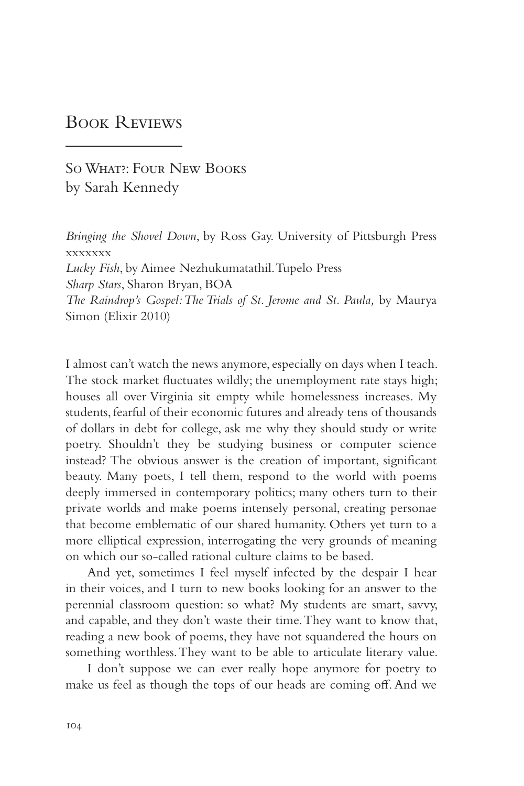## Book Reviews

So What?: Four New Books by Sarah Kennedy

*Bringing the Shovel Down*, by Ross Gay. University of Pittsburgh Press xxxxxxx *Lucky Fish*, by Aimee Nezhukumatathil. Tupelo Press *Sharp Stars*, Sharon Bryan, BOA *The Raindrop's Gospel: The Trials of St. Jerome and St. Paula,* by Maurya Simon (Elixir 2010)

I almost can't watch the news anymore, especially on days when I teach. The stock market fluctuates wildly; the unemployment rate stays high; houses all over Virginia sit empty while homelessness increases. My students, fearful of their economic futures and already tens of thousands of dollars in debt for college, ask me why they should study or write poetry. Shouldn't they be studying business or computer science instead? The obvious answer is the creation of important, significant beauty. Many poets, I tell them, respond to the world with poems deeply immersed in contemporary politics; many others turn to their private worlds and make poems intensely personal, creating personae that become emblematic of our shared humanity. Others yet turn to a more elliptical expression, interrogating the very grounds of meaning on which our so-called rational culture claims to be based.

And yet, sometimes I feel myself infected by the despair I hear in their voices, and I turn to new books looking for an answer to the perennial classroom question: so what? My students are smart, savvy, and capable, and they don't waste their time. They want to know that, reading a new book of poems, they have not squandered the hours on something worthless. They want to be able to articulate literary value.

I don't suppose we can ever really hope anymore for poetry to make us feel as though the tops of our heads are coming off. And we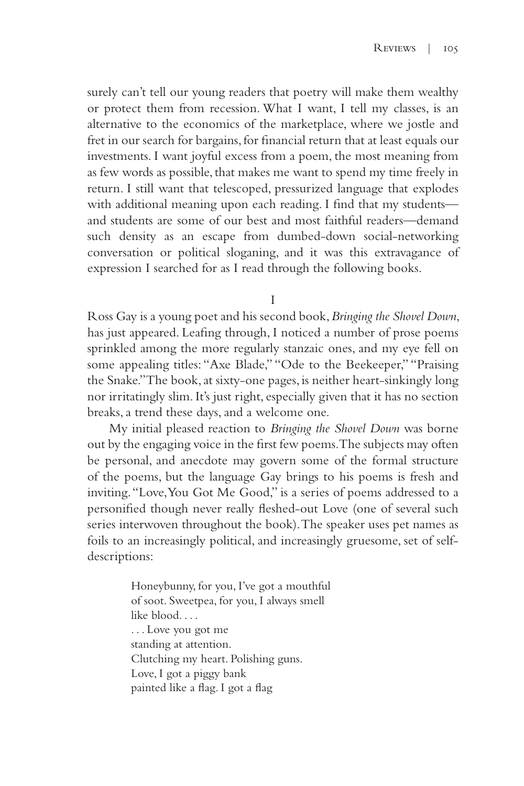surely can't tell our young readers that poetry will make them wealthy or protect them from recession. What I want, I tell my classes, is an alternative to the economics of the marketplace, where we jostle and fret in our search for bargains, for financial return that at least equals our investments. I want joyful excess from a poem, the most meaning from as few words as possible, that makes me want to spend my time freely in return. I still want that telescoped, pressurized language that explodes with additional meaning upon each reading. I find that my students and students are some of our best and most faithful readers—demand such density as an escape from dumbed-down social-networking conversation or political sloganing, and it was this extravagance of expression I searched for as I read through the following books.

I

Ross Gay is a young poet and his second book, *Bringing the Shovel Down*, has just appeared. Leafing through, I noticed a number of prose poems sprinkled among the more regularly stanzaic ones, and my eye fell on some appealing titles: "Axe Blade," "Ode to the Beekeeper," "Praising the Snake." The book, at sixty-one pages, is neither heart-sinkingly long nor irritatingly slim. It's just right, especially given that it has no section breaks, a trend these days, and a welcome one.

My initial pleased reaction to *Bringing the Shovel Down* was borne out by the engaging voice in the first few poems. The subjects may often be personal, and anecdote may govern some of the formal structure of the poems, but the language Gay brings to his poems is fresh and inviting. "Love, You Got Me Good," is a series of poems addressed to a personified though never really fleshed-out Love (one of several such series interwoven throughout the book). The speaker uses pet names as foils to an increasingly political, and increasingly gruesome, set of selfdescriptions:

> Honeybunny, for you, I've got a mouthful of soot. Sweetpea, for you, I always smell like blood. . . . . . . Love you got me standing at attention. Clutching my heart. Polishing guns. Love, I got a piggy bank painted like a flag. I got a flag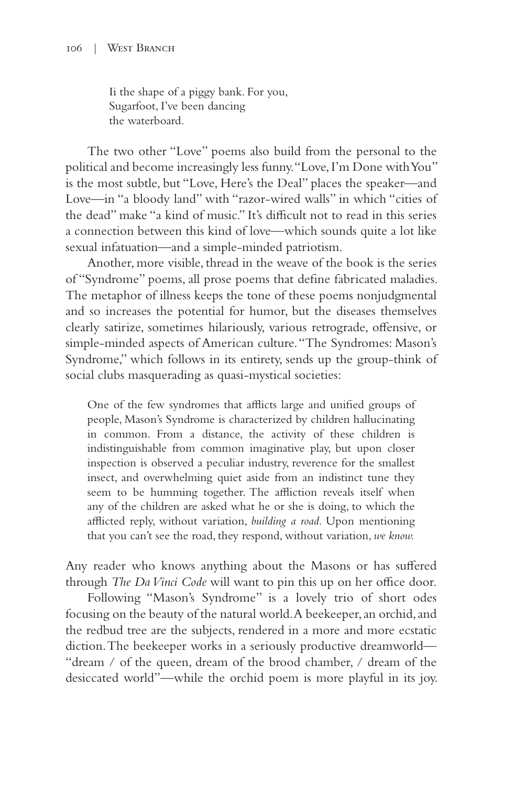Ii the shape of a piggy bank. For you, Sugarfoot, I've been dancing the waterboard.

The two other "Love" poems also build from the personal to the political and become increasingly less funny. "Love, I'm Done with You" is the most subtle, but "Love, Here's the Deal" places the speaker—and Love—in "a bloody land" with "razor-wired walls" in which "cities of the dead" make "a kind of music." It's difficult not to read in this series a connection between this kind of love—which sounds quite a lot like sexual infatuation—and a simple-minded patriotism.

Another, more visible, thread in the weave of the book is the series of "Syndrome" poems, all prose poems that define fabricated maladies. The metaphor of illness keeps the tone of these poems nonjudgmental and so increases the potential for humor, but the diseases themselves clearly satirize, sometimes hilariously, various retrograde, offensive, or simple-minded aspects of American culture. "The Syndromes: Mason's Syndrome," which follows in its entirety, sends up the group-think of social clubs masquerading as quasi-mystical societies:

One of the few syndromes that afflicts large and unified groups of people, Mason's Syndrome is characterized by children hallucinating in common. From a distance, the activity of these children is indistinguishable from common imaginative play, but upon closer inspection is observed a peculiar industry, reverence for the smallest insect, and overwhelming quiet aside from an indistinct tune they seem to be humming together. The affliction reveals itself when any of the children are asked what he or she is doing, to which the afflicted reply, without variation, *building a road*. Upon mentioning that you can't see the road, they respond, without variation, *we know.*

Any reader who knows anything about the Masons or has suffered through *The Da Vinci Code* will want to pin this up on her office door.

Following "Mason's Syndrome" is a lovely trio of short odes focusing on the beauty of the natural world. A beekeeper, an orchid, and the redbud tree are the subjects, rendered in a more and more ecstatic diction. The beekeeper works in a seriously productive dreamworld— "dream / of the queen, dream of the brood chamber, / dream of the desiccated world"—while the orchid poem is more playful in its joy.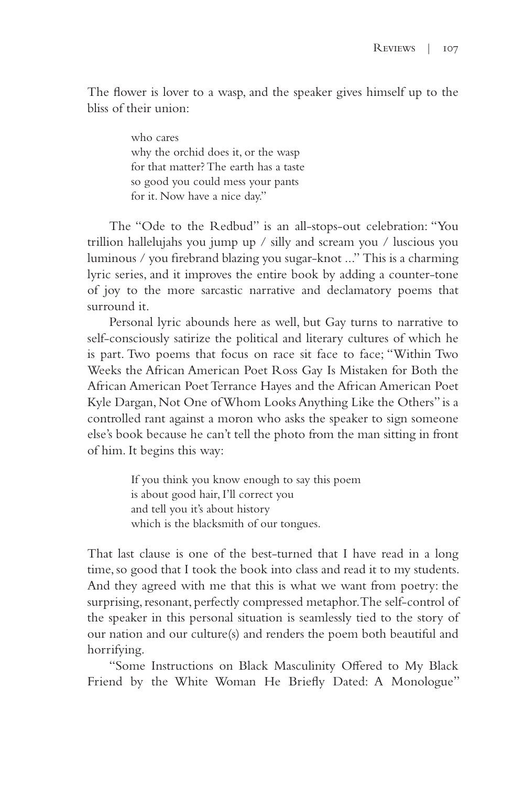The flower is lover to a wasp, and the speaker gives himself up to the bliss of their union:

> who cares why the orchid does it, or the wasp for that matter? The earth has a taste so good you could mess your pants for it. Now have a nice day."

The "Ode to the Redbud" is an all-stops-out celebration: "You trillion hallelujahs you jump up / silly and scream you / luscious you luminous / you firebrand blazing you sugar-knot ..." This is a charming lyric series, and it improves the entire book by adding a counter-tone of joy to the more sarcastic narrative and declamatory poems that surround it.

Personal lyric abounds here as well, but Gay turns to narrative to self-consciously satirize the political and literary cultures of which he is part. Two poems that focus on race sit face to face; "Within Two Weeks the African American Poet Ross Gay Is Mistaken for Both the African American Poet Terrance Hayes and the African American Poet Kyle Dargan, Not One of Whom Looks Anything Like the Others" is a controlled rant against a moron who asks the speaker to sign someone else's book because he can't tell the photo from the man sitting in front of him. It begins this way:

> If you think you know enough to say this poem is about good hair, I'll correct you and tell you it's about history which is the blacksmith of our tongues.

That last clause is one of the best-turned that I have read in a long time, so good that I took the book into class and read it to my students. And they agreed with me that this is what we want from poetry: the surprising, resonant, perfectly compressed metaphor. The self-control of the speaker in this personal situation is seamlessly tied to the story of our nation and our culture(s) and renders the poem both beautiful and horrifying.

"Some Instructions on Black Masculinity Offered to My Black Friend by the White Woman He Briefly Dated: A Monologue"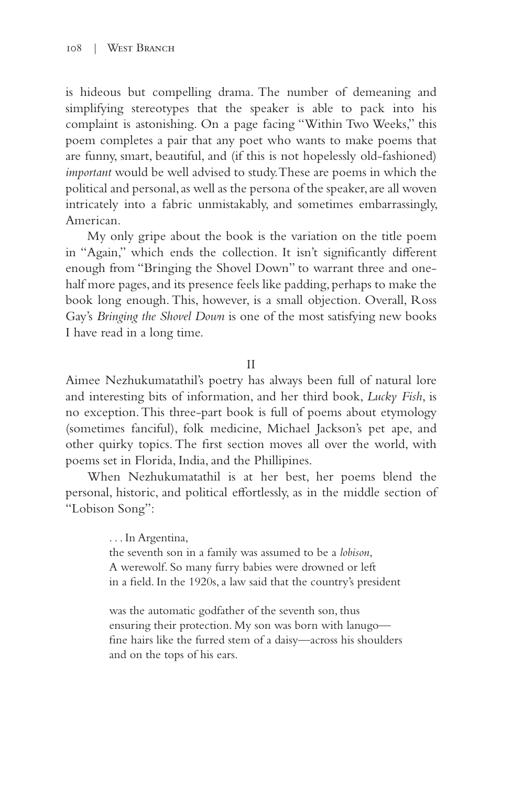is hideous but compelling drama. The number of demeaning and simplifying stereotypes that the speaker is able to pack into his complaint is astonishing. On a page facing "Within Two Weeks," this poem completes a pair that any poet who wants to make poems that are funny, smart, beautiful, and (if this is not hopelessly old-fashioned) *important* would be well advised to study. These are poems in which the political and personal, as well as the persona of the speaker, are all woven intricately into a fabric unmistakably, and sometimes embarrassingly, American.

My only gripe about the book is the variation on the title poem in "Again," which ends the collection. It isn't significantly different enough from "Bringing the Shovel Down" to warrant three and onehalf more pages, and its presence feels like padding, perhaps to make the book long enough. This, however, is a small objection. Overall, Ross Gay's *Bringing the Shovel Down* is one of the most satisfying new books I have read in a long time.

II

Aimee Nezhukumatathil's poetry has always been full of natural lore and interesting bits of information, and her third book, *Lucky Fish*, is no exception. This three-part book is full of poems about etymology (sometimes fanciful), folk medicine, Michael Jackson's pet ape, and other quirky topics. The first section moves all over the world, with poems set in Florida, India, and the Phillipines.

When Nezhukumatathil is at her best, her poems blend the personal, historic, and political effortlessly, as in the middle section of "Lobison Song":

> . . . In Argentina, the seventh son in a family was assumed to be a *lobison*, A werewolf. So many furry babies were drowned or left in a field. In the 1920s, a law said that the country's president

was the automatic godfather of the seventh son, thus ensuring their protection. My son was born with lanugo fine hairs like the furred stem of a daisy—across his shoulders and on the tops of his ears.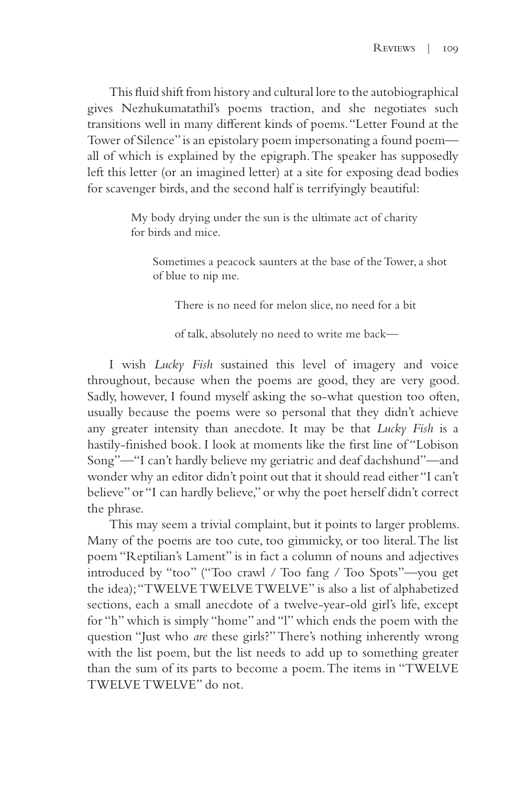This fluid shift from history and cultural lore to the autobiographical gives Nezhukumatathil's poems traction, and she negotiates such transitions well in many different kinds of poems. "Letter Found at the Tower of Silence" is an epistolary poem impersonating a found poem all of which is explained by the epigraph. The speaker has supposedly left this letter (or an imagined letter) at a site for exposing dead bodies for scavenger birds, and the second half is terrifyingly beautiful:

> My body drying under the sun is the ultimate act of charity for birds and mice.

Sometimes a peacock saunters at the base of the Tower, a shot of blue to nip me.

There is no need for melon slice, no need for a bit

of talk, absolutely no need to write me back—

I wish *Lucky Fish* sustained this level of imagery and voice throughout, because when the poems are good, they are very good. Sadly, however, I found myself asking the so-what question too often, usually because the poems were so personal that they didn't achieve any greater intensity than anecdote. It may be that *Lucky Fish* is a hastily-finished book. I look at moments like the first line of "Lobison Song"—"I can't hardly believe my geriatric and deaf dachshund"—and wonder why an editor didn't point out that it should read either "I can't believe" or "I can hardly believe," or why the poet herself didn't correct the phrase.

This may seem a trivial complaint, but it points to larger problems. Many of the poems are too cute, too gimmicky, or too literal. The list poem "Reptilian's Lament" is in fact a column of nouns and adjectives introduced by "too" ("Too crawl / Too fang / Too Spots"—you get the idea); "TWELVE TWELVE TWELVE" is also a list of alphabetized sections, each a small anecdote of a twelve-year-old girl's life, except for "h" which is simply "home" and "l" which ends the poem with the question "Just who *are* these girls?" There's nothing inherently wrong with the list poem, but the list needs to add up to something greater than the sum of its parts to become a poem. The items in "TWELVE TWELVE TWELVE" do not.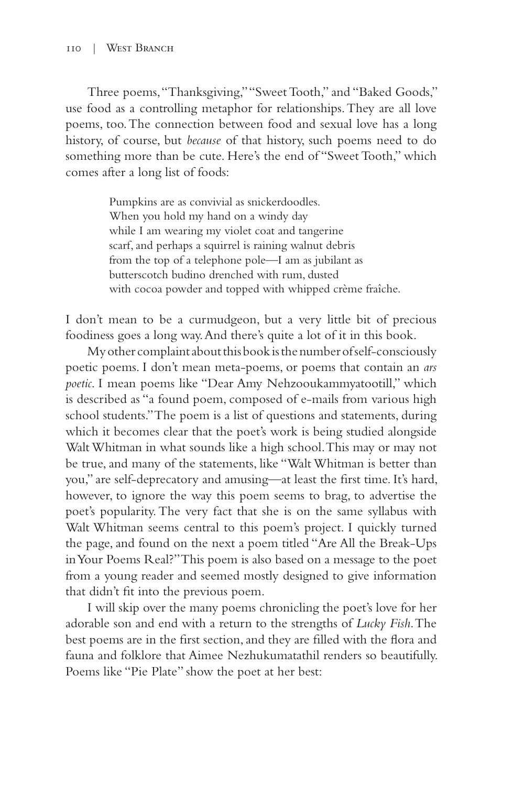Three poems, "Thanksgiving," "Sweet Tooth," and "Baked Goods," use food as a controlling metaphor for relationships. They are all love poems, too. The connection between food and sexual love has a long history, of course, but *because* of that history, such poems need to do something more than be cute. Here's the end of "Sweet Tooth," which comes after a long list of foods:

> Pumpkins are as convivial as snickerdoodles. When you hold my hand on a windy day while I am wearing my violet coat and tangerine scarf, and perhaps a squirrel is raining walnut debris from the top of a telephone pole—I am as jubilant as butterscotch budino drenched with rum, dusted with cocoa powder and topped with whipped crème fraîche.

I don't mean to be a curmudgeon, but a very little bit of precious foodiness goes a long way. And there's quite a lot of it in this book.

My other complaint about this book is the number of self-consciously poetic poems. I don't mean meta-poems, or poems that contain an *ars poetic*. I mean poems like "Dear Amy Nehzooukammyatootill," which is described as "a found poem, composed of e-mails from various high school students." The poem is a list of questions and statements, during which it becomes clear that the poet's work is being studied alongside Walt Whitman in what sounds like a high school. This may or may not be true, and many of the statements, like "Walt Whitman is better than you," are self-deprecatory and amusing—at least the first time. It's hard, however, to ignore the way this poem seems to brag, to advertise the poet's popularity. The very fact that she is on the same syllabus with Walt Whitman seems central to this poem's project. I quickly turned the page, and found on the next a poem titled "Are All the Break-Ups in Your Poems Real?" This poem is also based on a message to the poet from a young reader and seemed mostly designed to give information that didn't fit into the previous poem.

I will skip over the many poems chronicling the poet's love for her adorable son and end with a return to the strengths of *Lucky Fish*. The best poems are in the first section, and they are filled with the flora and fauna and folklore that Aimee Nezhukumatathil renders so beautifully. Poems like "Pie Plate" show the poet at her best: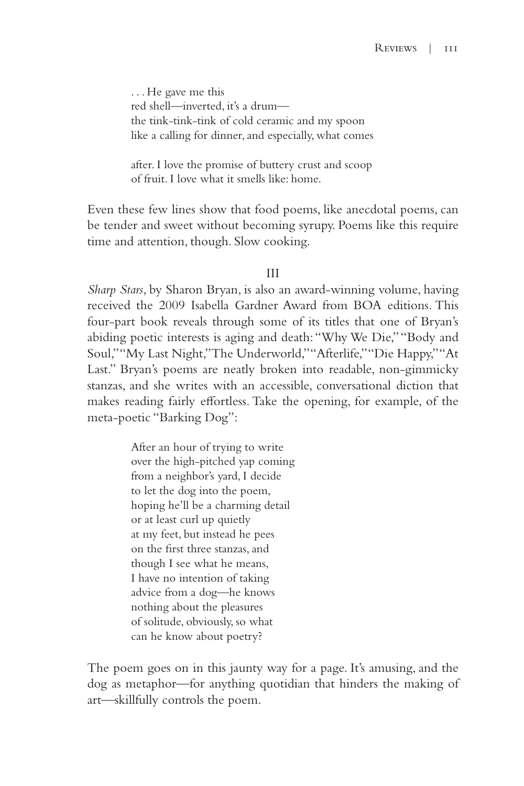. . . He gave me this red shell—inverted, it's a drum the tink-tink-tink of cold ceramic and my spoon like a calling for dinner, and especially, what comes

after. I love the promise of buttery crust and scoop of fruit. I love what it smells like: home.

Even these few lines show that food poems, like anecdotal poems, can be tender and sweet without becoming syrupy. Poems like this require time and attention, though. Slow cooking.

## III

*Sharp Stars*, by Sharon Bryan, is also an award-winning volume, having received the 2009 Isabella Gardner Award from BOA editions. This four-part book reveals through some of its titles that one of Bryan's abiding poetic interests is aging and death: "Why We Die," "Body and Soul," "My Last Night," The Underworld," "Afterlife," "Die Happy," "At Last." Bryan's poems are neatly broken into readable, non-gimmicky stanzas, and she writes with an accessible, conversational diction that makes reading fairly effortless. Take the opening, for example, of the meta-poetic "Barking Dog":

> After an hour of trying to write over the high-pitched yap coming from a neighbor's yard, I decide to let the dog into the poem, hoping he'll be a charming detail or at least curl up quietly at my feet, but instead he pees on the first three stanzas, and though I see what he means, I have no intention of taking advice from a dog—he knows nothing about the pleasures of solitude, obviously, so what can he know about poetry?

The poem goes on in this jaunty way for a page. It's amusing, and the dog as metaphor—for anything quotidian that hinders the making of art—skillfully controls the poem.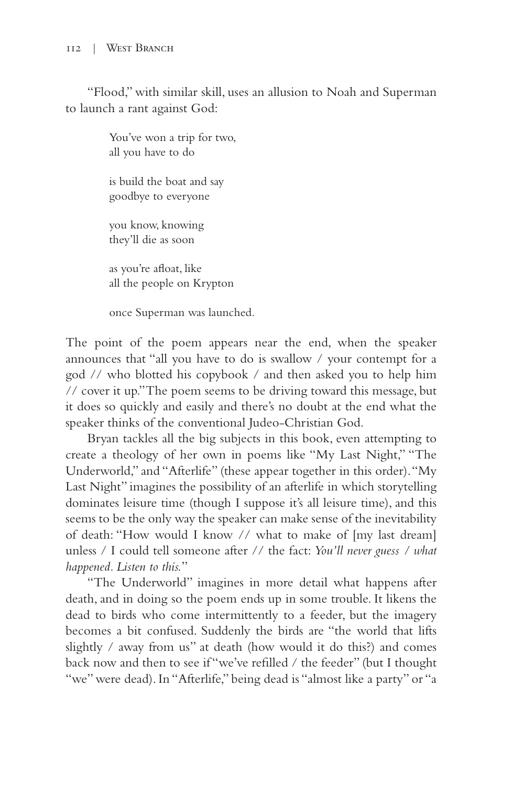"Flood," with similar skill, uses an allusion to Noah and Superman to launch a rant against God:

> You've won a trip for two, all you have to do

is build the boat and say goodbye to everyone

you know, knowing they'll die as soon

as you're afloat, like all the people on Krypton

once Superman was launched.

The point of the poem appears near the end, when the speaker announces that "all you have to do is swallow / your contempt for a god // who blotted his copybook / and then asked you to help him // cover it up." The poem seems to be driving toward this message, but it does so quickly and easily and there's no doubt at the end what the speaker thinks of the conventional Judeo-Christian God.

Bryan tackles all the big subjects in this book, even attempting to create a theology of her own in poems like "My Last Night," "The Underworld," and "Afterlife" (these appear together in this order). "My Last Night" imagines the possibility of an afterlife in which storytelling dominates leisure time (though I suppose it's all leisure time), and this seems to be the only way the speaker can make sense of the inevitability of death: "How would I know // what to make of [my last dream] unless / I could tell someone after // the fact: *You'll never guess / what happened. Listen to this.*"

"The Underworld" imagines in more detail what happens after death, and in doing so the poem ends up in some trouble. It likens the dead to birds who come intermittently to a feeder, but the imagery becomes a bit confused. Suddenly the birds are "the world that lifts slightly / away from us" at death (how would it do this?) and comes back now and then to see if "we've refilled / the feeder" (but I thought "we" were dead). In "Afterlife," being dead is "almost like a party" or "a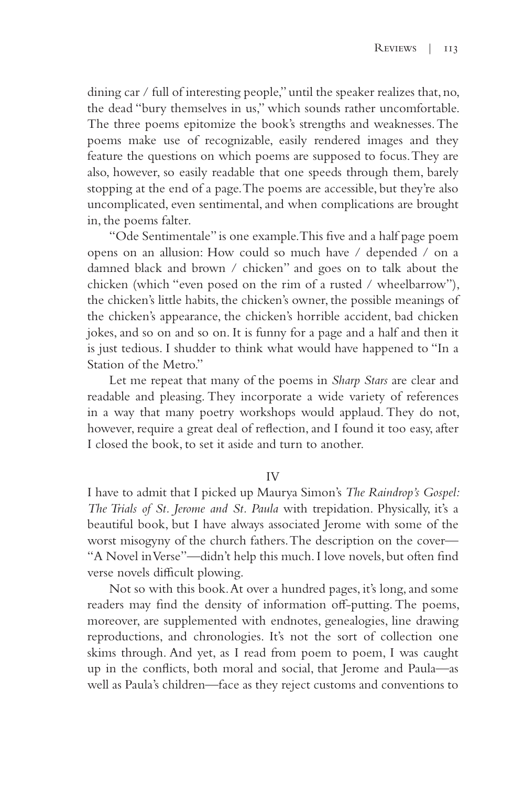dining car / full of interesting people," until the speaker realizes that, no, the dead "bury themselves in us," which sounds rather uncomfortable. The three poems epitomize the book's strengths and weaknesses. The poems make use of recognizable, easily rendered images and they feature the questions on which poems are supposed to focus. They are also, however, so easily readable that one speeds through them, barely stopping at the end of a page. The poems are accessible, but they're also uncomplicated, even sentimental, and when complications are brought in, the poems falter.

"Ode Sentimentale" is one example. This five and a half page poem opens on an allusion: How could so much have / depended / on a damned black and brown / chicken" and goes on to talk about the chicken (which "even posed on the rim of a rusted / wheelbarrow"), the chicken's little habits, the chicken's owner, the possible meanings of the chicken's appearance, the chicken's horrible accident, bad chicken jokes, and so on and so on. It is funny for a page and a half and then it is just tedious. I shudder to think what would have happened to "In a Station of the Metro."

Let me repeat that many of the poems in *Sharp Stars* are clear and readable and pleasing. They incorporate a wide variety of references in a way that many poetry workshops would applaud. They do not, however, require a great deal of reflection, and I found it too easy, after I closed the book, to set it aside and turn to another.

## IV

I have to admit that I picked up Maurya Simon's *The Raindrop's Gospel: The Trials of St. Jerome and St. Paula* with trepidation. Physically, it's a beautiful book, but I have always associated Jerome with some of the worst misogyny of the church fathers. The description on the cover— "A Novel in Verse"—didn't help this much. I love novels, but often find verse novels difficult plowing.

Not so with this book. At over a hundred pages, it's long, and some readers may find the density of information off-putting. The poems, moreover, are supplemented with endnotes, genealogies, line drawing reproductions, and chronologies. It's not the sort of collection one skims through. And yet, as I read from poem to poem, I was caught up in the conflicts, both moral and social, that Jerome and Paula—as well as Paula's children—face as they reject customs and conventions to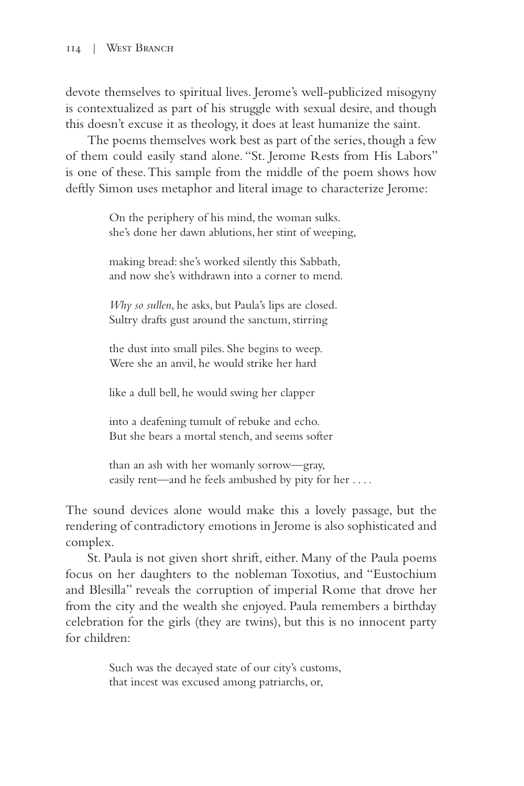devote themselves to spiritual lives. Jerome's well-publicized misogyny is contextualized as part of his struggle with sexual desire, and though this doesn't excuse it as theology, it does at least humanize the saint.

The poems themselves work best as part of the series, though a few of them could easily stand alone. "St. Jerome Rests from His Labors" is one of these. This sample from the middle of the poem shows how deftly Simon uses metaphor and literal image to characterize Jerome:

> On the periphery of his mind, the woman sulks. she's done her dawn ablutions, her stint of weeping,

making bread: she's worked silently this Sabbath, and now she's withdrawn into a corner to mend.

*Why so sullen*, he asks, but Paula's lips are closed. Sultry drafts gust around the sanctum, stirring

the dust into small piles. She begins to weep. Were she an anvil, he would strike her hard

like a dull bell, he would swing her clapper

into a deafening tumult of rebuke and echo. But she bears a mortal stench, and seems softer

than an ash with her womanly sorrow—gray, easily rent—and he feels ambushed by pity for her . . . .

The sound devices alone would make this a lovely passage, but the rendering of contradictory emotions in Jerome is also sophisticated and complex.

St. Paula is not given short shrift, either. Many of the Paula poems focus on her daughters to the nobleman Toxotius, and "Eustochium and Blesilla" reveals the corruption of imperial Rome that drove her from the city and the wealth she enjoyed. Paula remembers a birthday celebration for the girls (they are twins), but this is no innocent party for children:

> Such was the decayed state of our city's customs, that incest was excused among patriarchs, or,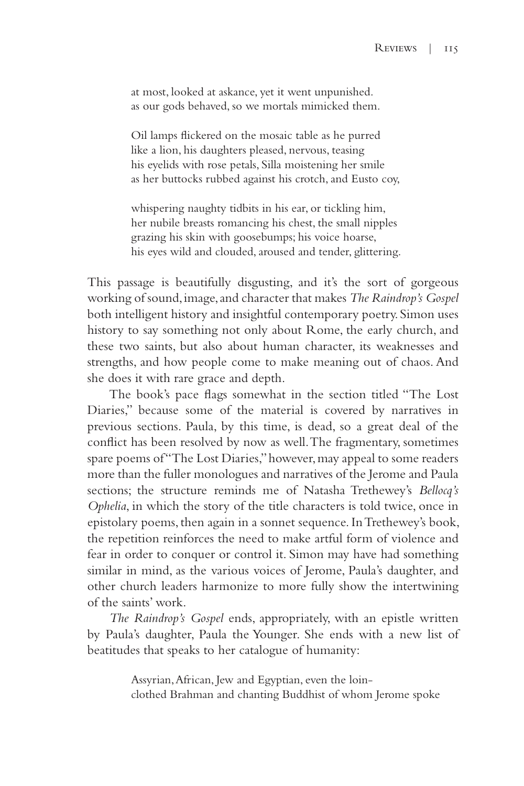at most, looked at askance, yet it went unpunished. as our gods behaved, so we mortals mimicked them.

Oil lamps flickered on the mosaic table as he purred like a lion, his daughters pleased, nervous, teasing his eyelids with rose petals, Silla moistening her smile as her buttocks rubbed against his crotch, and Eusto coy,

whispering naughty tidbits in his ear, or tickling him, her nubile breasts romancing his chest, the small nipples grazing his skin with goosebumps; his voice hoarse, his eyes wild and clouded, aroused and tender, glittering.

This passage is beautifully disgusting, and it's the sort of gorgeous working of sound, image, and character that makes *The Raindrop's Gospel* both intelligent history and insightful contemporary poetry. Simon uses history to say something not only about Rome, the early church, and these two saints, but also about human character, its weaknesses and strengths, and how people come to make meaning out of chaos. And she does it with rare grace and depth.

The book's pace flags somewhat in the section titled "The Lost Diaries," because some of the material is covered by narratives in previous sections. Paula, by this time, is dead, so a great deal of the conflict has been resolved by now as well. The fragmentary, sometimes spare poems of "The Lost Diaries," however, may appeal to some readers more than the fuller monologues and narratives of the Jerome and Paula sections; the structure reminds me of Natasha Trethewey's *Bellocq's Ophelia*, in which the story of the title characters is told twice, once in epistolary poems, then again in a sonnet sequence. In Trethewey's book, the repetition reinforces the need to make artful form of violence and fear in order to conquer or control it. Simon may have had something similar in mind, as the various voices of Jerome, Paula's daughter, and other church leaders harmonize to more fully show the intertwining of the saints' work.

*The Raindrop's Gospel* ends, appropriately, with an epistle written by Paula's daughter, Paula the Younger. She ends with a new list of beatitudes that speaks to her catalogue of humanity:

> Assyrian, African, Jew and Egyptian, even the loinclothed Brahman and chanting Buddhist of whom Jerome spoke